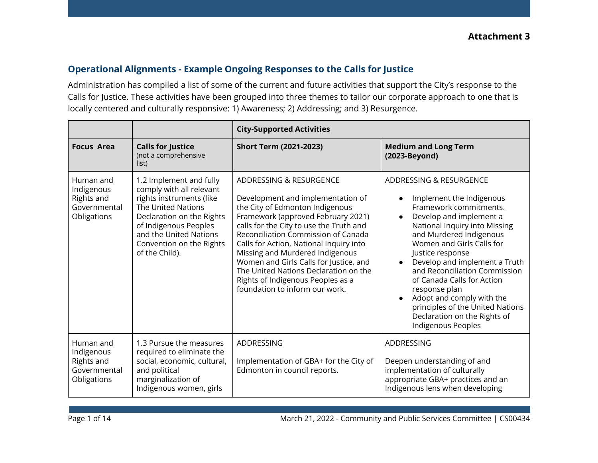### **Operational Alignments - Example Ongoing Responses to the Calls for Justice**

Administration has compiled a list of some of the current and future activities that support the City's response to the Calls for Justice. These activities have been grouped into three themes to tailor our corporate approach to one that is locally centered and culturally responsive: 1) Awareness; 2) Addressing; and 3) Resurgence.

|                                                                      |                                                                                                                                                                                                                                     | <b>City-Supported Activities</b>                                                                                                                                                                                                                                                                                                                                                                                                                                |                                                                                                                                                                                                                                                                                                                                                                                                                                                               |
|----------------------------------------------------------------------|-------------------------------------------------------------------------------------------------------------------------------------------------------------------------------------------------------------------------------------|-----------------------------------------------------------------------------------------------------------------------------------------------------------------------------------------------------------------------------------------------------------------------------------------------------------------------------------------------------------------------------------------------------------------------------------------------------------------|---------------------------------------------------------------------------------------------------------------------------------------------------------------------------------------------------------------------------------------------------------------------------------------------------------------------------------------------------------------------------------------------------------------------------------------------------------------|
| <b>Focus Area</b>                                                    | <b>Calls for Justice</b><br>(not a comprehensive<br>list)                                                                                                                                                                           | <b>Short Term (2021-2023)</b>                                                                                                                                                                                                                                                                                                                                                                                                                                   | <b>Medium and Long Term</b><br>(2023-Beyond)                                                                                                                                                                                                                                                                                                                                                                                                                  |
| Human and<br>Indigenous<br>Rights and<br>Governmental<br>Obligations | 1.2 Implement and fully<br>comply with all relevant<br>rights instruments (like<br>The United Nations<br>Declaration on the Rights<br>of Indigenous Peoples<br>and the United Nations<br>Convention on the Rights<br>of the Child). | ADDRESSING & RESURGENCE<br>Development and implementation of<br>the City of Edmonton Indigenous<br>Framework (approved February 2021)<br>calls for the City to use the Truth and<br>Reconciliation Commission of Canada<br>Calls for Action, National Inquiry into<br>Missing and Murdered Indigenous<br>Women and Girls Calls for Justice, and<br>The United Nations Declaration on the<br>Rights of Indigenous Peoples as a<br>foundation to inform our work. | ADDRESSING & RESURGENCE<br>Implement the Indigenous<br>Framework commitments.<br>Develop and implement a<br>National Inquiry into Missing<br>and Murdered Indigenous<br>Women and Girls Calls for<br>Justice response<br>Develop and implement a Truth<br>and Reconciliation Commission<br>of Canada Calls for Action<br>response plan<br>Adopt and comply with the<br>principles of the United Nations<br>Declaration on the Rights of<br>Indigenous Peoples |
| Human and<br>Indigenous<br>Rights and<br>Governmental<br>Obligations | 1.3 Pursue the measures<br>required to eliminate the<br>social, economic, cultural,<br>and political<br>marginalization of<br>Indigenous women, girls                                                                               | ADDRESSING<br>Implementation of GBA+ for the City of<br>Edmonton in council reports.                                                                                                                                                                                                                                                                                                                                                                            | ADDRESSING<br>Deepen understanding of and<br>implementation of culturally<br>appropriate GBA+ practices and an<br>Indigenous lens when developing                                                                                                                                                                                                                                                                                                             |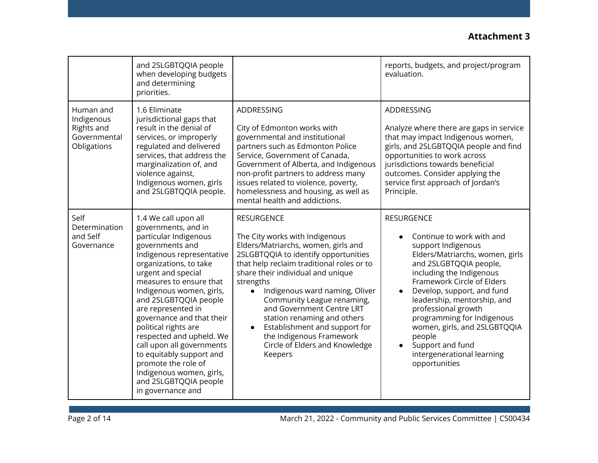|                                                                      | and 2SLGBTQQIA people<br>when developing budgets<br>and determining<br>priorities.                                                                                                                                                                                                                                                                                                                                                                                                                                    |                                                                                                                                                                                                                                                                                                                                                                                                                                                                         | reports, budgets, and project/program<br>evaluation.                                                                                                                                                                                                                                                                                                                                                                       |
|----------------------------------------------------------------------|-----------------------------------------------------------------------------------------------------------------------------------------------------------------------------------------------------------------------------------------------------------------------------------------------------------------------------------------------------------------------------------------------------------------------------------------------------------------------------------------------------------------------|-------------------------------------------------------------------------------------------------------------------------------------------------------------------------------------------------------------------------------------------------------------------------------------------------------------------------------------------------------------------------------------------------------------------------------------------------------------------------|----------------------------------------------------------------------------------------------------------------------------------------------------------------------------------------------------------------------------------------------------------------------------------------------------------------------------------------------------------------------------------------------------------------------------|
| Human and<br>Indigenous<br>Rights and<br>Governmental<br>Obligations | 1.6 Eliminate<br>jurisdictional gaps that<br>result in the denial of<br>services, or improperly<br>regulated and delivered<br>services, that address the<br>marginalization of, and<br>violence against,<br>Indigenous women, girls<br>and 2SLGBTQQIA people.                                                                                                                                                                                                                                                         | ADDRESSING<br>City of Edmonton works with<br>governmental and institutional<br>partners such as Edmonton Police<br>Service, Government of Canada,<br>Government of Alberta, and Indigenous<br>non-profit partners to address many<br>issues related to violence, poverty,<br>homelessness and housing, as well as<br>mental health and addictions.                                                                                                                      | ADDRESSING<br>Analyze where there are gaps in service<br>that may impact Indigenous women,<br>girls, and 2SLGBTQQIA people and find<br>opportunities to work across<br>jurisdictions towards beneficial<br>outcomes. Consider applying the<br>service first approach of Jordan's<br>Principle.                                                                                                                             |
| Self<br>Determination<br>and Self<br>Governance                      | 1.4 We call upon all<br>governments, and in<br>particular Indigenous<br>governments and<br>Indigenous representative<br>organizations, to take<br>urgent and special<br>measures to ensure that<br>Indigenous women, girls,<br>and 2SLGBTQQIA people<br>are represented in<br>governance and that their<br>political rights are<br>respected and upheld. We<br>call upon all governments<br>to equitably support and<br>promote the role of<br>Indigenous women, girls,<br>and 2SLGBTQQIA people<br>in governance and | <b>RESURGENCE</b><br>The City works with Indigenous<br>Elders/Matriarchs, women, girls and<br>2SLGBTQQIA to identify opportunities<br>that help reclaim traditional roles or to<br>share their individual and unique<br>strengths<br>Indigenous ward naming, Oliver<br>Community League renaming,<br>and Government Centre LRT<br>station renaming and others<br>Establishment and support for<br>the Indigenous Framework<br>Circle of Elders and Knowledge<br>Keepers | <b>RESURGENCE</b><br>Continue to work with and<br>support Indigenous<br>Elders/Matriarchs, women, girls<br>and 2SLGBTQQIA people,<br>including the Indigenous<br>Framework Circle of Elders<br>Develop, support, and fund<br>leadership, mentorship, and<br>professional growth<br>programming for Indigenous<br>women, girls, and 2SLGBTQQIA<br>people<br>Support and fund<br>intergenerational learning<br>opportunities |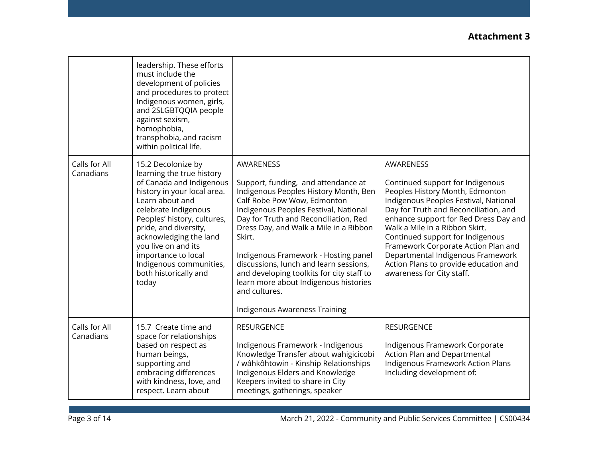|                            | leadership. These efforts<br>must include the<br>development of policies<br>and procedures to protect<br>Indigenous women, girls,<br>and 2SLGBTQQIA people<br>against sexism,<br>homophobia,<br>transphobia, and racism<br>within political life.                                                                                                  |                                                                                                                                                                                                                                                                                                                                                                                                                                                                                          |                                                                                                                                                                                                                                                                                                                                                                                                                                     |
|----------------------------|----------------------------------------------------------------------------------------------------------------------------------------------------------------------------------------------------------------------------------------------------------------------------------------------------------------------------------------------------|------------------------------------------------------------------------------------------------------------------------------------------------------------------------------------------------------------------------------------------------------------------------------------------------------------------------------------------------------------------------------------------------------------------------------------------------------------------------------------------|-------------------------------------------------------------------------------------------------------------------------------------------------------------------------------------------------------------------------------------------------------------------------------------------------------------------------------------------------------------------------------------------------------------------------------------|
| Calls for All<br>Canadians | 15.2 Decolonize by<br>learning the true history<br>of Canada and Indigenous<br>history in your local area.<br>Learn about and<br>celebrate Indigenous<br>Peoples' history, cultures,<br>pride, and diversity,<br>acknowledging the land<br>you live on and its<br>importance to local<br>Indigenous communities,<br>both historically and<br>today | AWARENESS<br>Support, funding, and attendance at<br>Indigenous Peoples History Month, Ben<br>Calf Robe Pow Wow, Edmonton<br>Indigenous Peoples Festival, National<br>Day for Truth and Reconciliation, Red<br>Dress Day, and Walk a Mile in a Ribbon<br>Skirt.<br>Indigenous Framework - Hosting panel<br>discussions, lunch and learn sessions,<br>and developing toolkits for city staff to<br>learn more about Indigenous histories<br>and cultures.<br>Indigenous Awareness Training | AWARENESS<br>Continued support for Indigenous<br>Peoples History Month, Edmonton<br>Indigenous Peoples Festival, National<br>Day for Truth and Reconciliation, and<br>enhance support for Red Dress Day and<br>Walk a Mile in a Ribbon Skirt.<br>Continued support for Indigenous<br>Framework Corporate Action Plan and<br>Departmental Indigenous Framework<br>Action Plans to provide education and<br>awareness for City staff. |
| Calls for All<br>Canadians | 15.7 Create time and<br>space for relationships<br>based on respect as<br>human beings,<br>supporting and<br>embracing differences<br>with kindness, love, and<br>respect. Learn about                                                                                                                                                             | <b>RESURGENCE</b><br>Indigenous Framework - Indigenous<br>Knowledge Transfer about wahigicicobi<br>/ wâhkôhtowin - Kinship Relationships<br>Indigenous Elders and Knowledge<br>Keepers invited to share in City<br>meetings, gatherings, speaker                                                                                                                                                                                                                                         | <b>RESURGENCE</b><br>Indigenous Framework Corporate<br>Action Plan and Departmental<br>Indigenous Framework Action Plans<br>Including development of:                                                                                                                                                                                                                                                                               |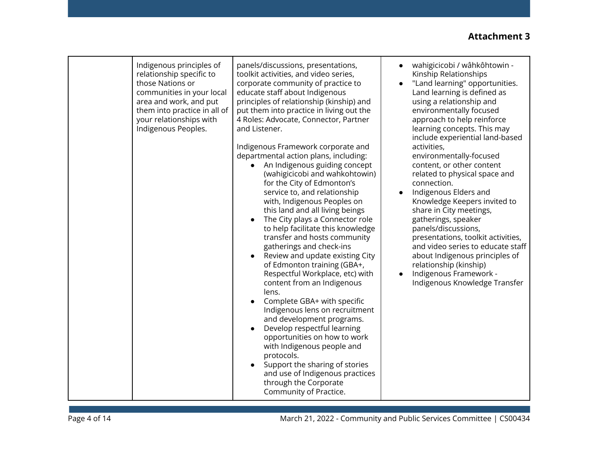| Indigenous principles of<br>relationship specific to<br>those Nations or<br>communities in your local<br>area and work, and put<br>them into practice in all of<br>your relationships with<br>Indigenous Peoples. | panels/discussions, presentations,<br>toolkit activities, and video series,<br>corporate community of practice to<br>educate staff about Indigenous<br>principles of relationship (kinship) and<br>put them into practice in living out the<br>4 Roles: Advocate, Connector, Partner<br>and Listener.<br>Indigenous Framework corporate and<br>departmental action plans, including:<br>An Indigenous guiding concept<br>(wahigicicobi and wahkohtowin)<br>for the City of Edmonton's<br>service to, and relationship<br>with, Indigenous Peoples on<br>this land and all living beings<br>The City plays a Connector role<br>to help facilitate this knowledge<br>transfer and hosts community<br>gatherings and check-ins<br>Review and update existing City<br>$\bullet$<br>of Edmonton training (GBA+,<br>Respectful Workplace, etc) with<br>content from an Indigenous<br>lens.<br>Complete GBA+ with specific<br>Indigenous lens on recruitment<br>and development programs.<br>Develop respectful learning<br>opportunities on how to work<br>with Indigenous people and | wahigicicobi / wâhkôhtowin -<br>Kinship Relationships<br>"Land learning" opportunities.<br>Land learning is defined as<br>using a relationship and<br>environmentally focused<br>approach to help reinforce<br>learning concepts. This may<br>include experiential land-based<br>activities,<br>environmentally-focused<br>content, or other content<br>related to physical space and<br>connection.<br>Indigenous Elders and<br>Knowledge Keepers invited to<br>share in City meetings,<br>gatherings, speaker<br>panels/discussions,<br>presentations, toolkit activities,<br>and video series to educate staff<br>about Indigenous principles of<br>relationship (kinship)<br>Indigenous Framework -<br>$\bullet$<br>Indigenous Knowledge Transfer |
|-------------------------------------------------------------------------------------------------------------------------------------------------------------------------------------------------------------------|---------------------------------------------------------------------------------------------------------------------------------------------------------------------------------------------------------------------------------------------------------------------------------------------------------------------------------------------------------------------------------------------------------------------------------------------------------------------------------------------------------------------------------------------------------------------------------------------------------------------------------------------------------------------------------------------------------------------------------------------------------------------------------------------------------------------------------------------------------------------------------------------------------------------------------------------------------------------------------------------------------------------------------------------------------------------------------|-------------------------------------------------------------------------------------------------------------------------------------------------------------------------------------------------------------------------------------------------------------------------------------------------------------------------------------------------------------------------------------------------------------------------------------------------------------------------------------------------------------------------------------------------------------------------------------------------------------------------------------------------------------------------------------------------------------------------------------------------------|
|-------------------------------------------------------------------------------------------------------------------------------------------------------------------------------------------------------------------|---------------------------------------------------------------------------------------------------------------------------------------------------------------------------------------------------------------------------------------------------------------------------------------------------------------------------------------------------------------------------------------------------------------------------------------------------------------------------------------------------------------------------------------------------------------------------------------------------------------------------------------------------------------------------------------------------------------------------------------------------------------------------------------------------------------------------------------------------------------------------------------------------------------------------------------------------------------------------------------------------------------------------------------------------------------------------------|-------------------------------------------------------------------------------------------------------------------------------------------------------------------------------------------------------------------------------------------------------------------------------------------------------------------------------------------------------------------------------------------------------------------------------------------------------------------------------------------------------------------------------------------------------------------------------------------------------------------------------------------------------------------------------------------------------------------------------------------------------|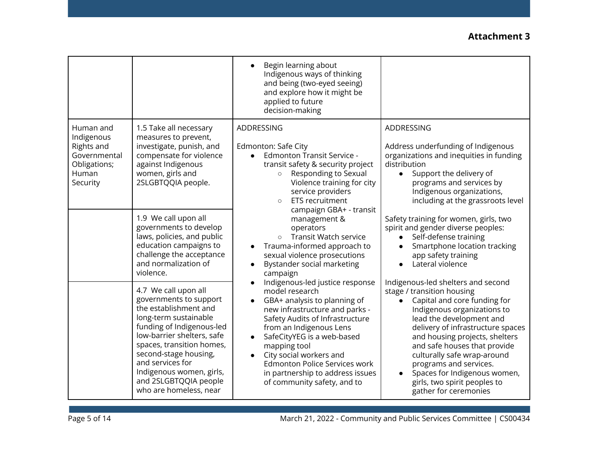|                                                                                            |                                                                                                                                                                                                                                                                                                                      | Begin learning about<br>Indigenous ways of thinking<br>and being (two-eyed seeing)<br>and explore how it might be<br>applied to future<br>decision-making                                                                                                                                                                                                                                                                                                                                                                                                                                                                                                                                                                                                                                                                                                          |                                                                                                                                                                                                                                                                                                                                                                                                                                   |
|--------------------------------------------------------------------------------------------|----------------------------------------------------------------------------------------------------------------------------------------------------------------------------------------------------------------------------------------------------------------------------------------------------------------------|--------------------------------------------------------------------------------------------------------------------------------------------------------------------------------------------------------------------------------------------------------------------------------------------------------------------------------------------------------------------------------------------------------------------------------------------------------------------------------------------------------------------------------------------------------------------------------------------------------------------------------------------------------------------------------------------------------------------------------------------------------------------------------------------------------------------------------------------------------------------|-----------------------------------------------------------------------------------------------------------------------------------------------------------------------------------------------------------------------------------------------------------------------------------------------------------------------------------------------------------------------------------------------------------------------------------|
| Human and<br>Indigenous<br>Rights and<br>Governmental<br>Obligations;<br>Human<br>Security | 1.5 Take all necessary<br>measures to prevent,<br>investigate, punish, and<br>compensate for violence<br>against Indigenous<br>women, girls and<br>2SLGBTQQIA people.                                                                                                                                                | ADDRESSING<br>Edmonton: Safe City<br><b>Edmonton Transit Service -</b><br>$\bullet$<br>transit safety & security project<br>Responding to Sexual<br>$\circ$<br>Violence training for city<br>service providers<br><b>ETS</b> recruitment<br>$\circ$<br>campaign GBA+ - transit<br>management &<br>operators<br><b>Transit Watch service</b><br>$\circ$<br>Trauma-informed approach to<br>sexual violence prosecutions<br>Bystander social marketing<br>$\bullet$<br>campaign<br>Indigenous-led justice response<br>model research<br>GBA+ analysis to planning of<br>$\bullet$<br>new infrastructure and parks -<br>Safety Audits of Infrastructure<br>from an Indigenous Lens<br>SafeCityYEG is a web-based<br>mapping tool<br>City social workers and<br><b>Edmonton Police Services work</b><br>in partnership to address issues<br>of community safety, and to | ADDRESSING<br>Address underfunding of Indigenous<br>organizations and inequities in funding<br>distribution<br>Support the delivery of<br>$\bullet$<br>programs and services by<br>Indigenous organizations,<br>including at the grassroots level                                                                                                                                                                                 |
|                                                                                            | 1.9 We call upon all<br>governments to develop<br>laws, policies, and public<br>education campaigns to<br>challenge the acceptance<br>and normalization of<br>violence.                                                                                                                                              |                                                                                                                                                                                                                                                                                                                                                                                                                                                                                                                                                                                                                                                                                                                                                                                                                                                                    | Safety training for women, girls, two<br>spirit and gender diverse peoples:<br>Self-defense training<br>Smartphone location tracking<br>$\bullet$<br>app safety training<br>Lateral violence                                                                                                                                                                                                                                      |
|                                                                                            | 4.7 We call upon all<br>governments to support<br>the establishment and<br>long-term sustainable<br>funding of Indigenous-led<br>low-barrier shelters, safe<br>spaces, transition homes,<br>second-stage housing,<br>and services for<br>Indigenous women, girls,<br>and 2SLGBTQQIA people<br>who are homeless, near |                                                                                                                                                                                                                                                                                                                                                                                                                                                                                                                                                                                                                                                                                                                                                                                                                                                                    | Indigenous-led shelters and second<br>stage / transition housing<br>Capital and core funding for<br>$\bullet$<br>Indigenous organizations to<br>lead the development and<br>delivery of infrastructure spaces<br>and housing projects, shelters<br>and safe houses that provide<br>culturally safe wrap-around<br>programs and services.<br>Spaces for Indigenous women,<br>girls, two spirit peoples to<br>gather for ceremonies |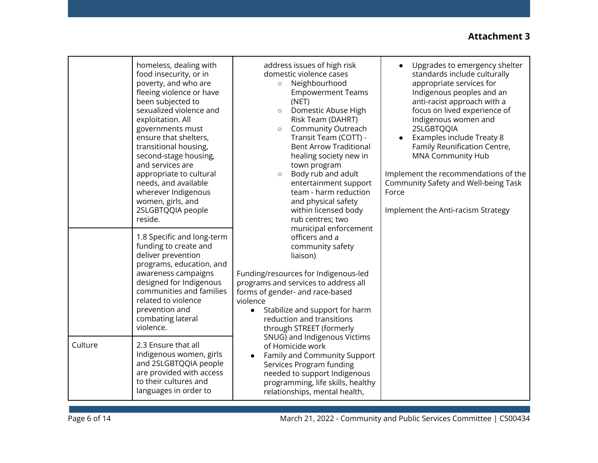|         | homeless, dealing with<br>food insecurity, or in<br>poverty, and who are<br>fleeing violence or have<br>been subjected to<br>sexualized violence and<br>exploitation. All<br>governments must<br>ensure that shelters,<br>transitional housing,<br>second-stage housing,<br>and services are<br>appropriate to cultural<br>needs, and available<br>wherever Indigenous<br>women, girls, and<br>2SLGBTQQIA people<br>reside. | address issues of high risk<br>domestic violence cases<br>Neighbourhood<br>$\circ$<br><b>Empowerment Teams</b><br>(NET)<br>Domestic Abuse High<br>$\circ$<br>Risk Team (DAHRT)<br>Community Outreach<br>$\circ$<br>Transit Team (COTT) -<br><b>Bent Arrow Traditional</b><br>healing society new in<br>town program<br>Body rub and adult<br>$\circ$<br>entertainment support<br>team - harm reduction<br>and physical safety<br>within licensed body<br>rub centres; two | Upgrades to emergency shelter<br>standards include culturally<br>appropriate services for<br>Indigenous peoples and an<br>anti-racist approach with a<br>focus on lived experience of<br>Indigenous women and<br>2SLGBTQQIA<br>Examples include Treaty 8<br>Family Reunification Centre,<br><b>MNA Community Hub</b><br>Implement the recommendations of the<br>Community Safety and Well-being Task<br>Force<br>Implement the Anti-racism Strategy |
|---------|-----------------------------------------------------------------------------------------------------------------------------------------------------------------------------------------------------------------------------------------------------------------------------------------------------------------------------------------------------------------------------------------------------------------------------|---------------------------------------------------------------------------------------------------------------------------------------------------------------------------------------------------------------------------------------------------------------------------------------------------------------------------------------------------------------------------------------------------------------------------------------------------------------------------|-----------------------------------------------------------------------------------------------------------------------------------------------------------------------------------------------------------------------------------------------------------------------------------------------------------------------------------------------------------------------------------------------------------------------------------------------------|
| Culture | 1.8 Specific and long-term<br>funding to create and<br>deliver prevention<br>programs, education, and<br>awareness campaigns<br>designed for Indigenous<br>communities and families<br>related to violence<br>prevention and<br>combating lateral<br>violence.<br>2.3 Ensure that all<br>Indigenous women, girls                                                                                                            | municipal enforcement<br>officers and a<br>community safety<br>liaison)<br>Funding/resources for Indigenous-led<br>programs and services to address all<br>forms of gender- and race-based<br>violence<br>Stabilize and support for harm<br>$\bullet$<br>reduction and transitions<br>through STREET (formerly<br>SNUG) and Indigenous Victims<br>of Homicide work                                                                                                        |                                                                                                                                                                                                                                                                                                                                                                                                                                                     |
|         | and 2SLGBTQQIA people<br>are provided with access<br>to their cultures and<br>languages in order to                                                                                                                                                                                                                                                                                                                         | Family and Community Support<br>Services Program funding<br>needed to support Indigenous<br>programming, life skills, healthy<br>relationships, mental health,                                                                                                                                                                                                                                                                                                            |                                                                                                                                                                                                                                                                                                                                                                                                                                                     |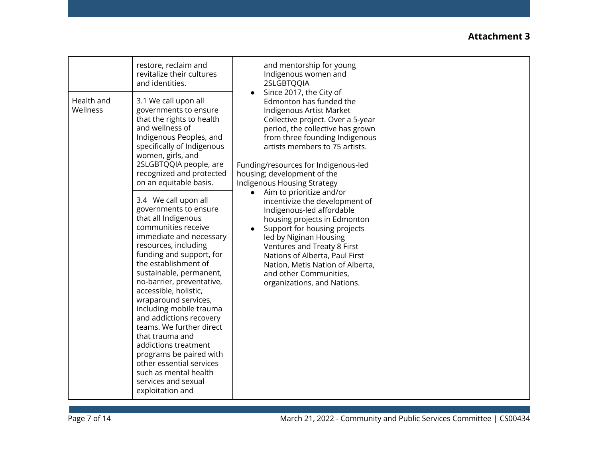|                        | restore, reclaim and<br>revitalize their cultures<br>and identities.                                                                                                                                                                                                                                                                                                                                                                                                                                                                                                                                                                                         | and mentorship for young<br>Indigenous women and<br>2SLGBTQQIA<br>Since 2017, the City of<br>Edmonton has funded the<br>Indigenous Artist Market<br>Collective project. Over a 5-year<br>period, the collective has grown<br>from three founding Indigenous<br>artists members to 75 artists.<br>Funding/resources for Indigenous-led<br>housing; development of the<br>Indigenous Housing Strategy<br>Aim to prioritize and/or<br>incentivize the development of<br>Indigenous-led affordable<br>housing projects in Edmonton<br>Support for housing projects<br>led by Niginan Housing<br>Ventures and Treaty 8 First<br>Nations of Alberta, Paul First<br>Nation, Metis Nation of Alberta,<br>and other Communities,<br>organizations, and Nations. |  |
|------------------------|--------------------------------------------------------------------------------------------------------------------------------------------------------------------------------------------------------------------------------------------------------------------------------------------------------------------------------------------------------------------------------------------------------------------------------------------------------------------------------------------------------------------------------------------------------------------------------------------------------------------------------------------------------------|--------------------------------------------------------------------------------------------------------------------------------------------------------------------------------------------------------------------------------------------------------------------------------------------------------------------------------------------------------------------------------------------------------------------------------------------------------------------------------------------------------------------------------------------------------------------------------------------------------------------------------------------------------------------------------------------------------------------------------------------------------|--|
| Health and<br>Wellness | 3.1 We call upon all<br>governments to ensure<br>that the rights to health<br>and wellness of<br>Indigenous Peoples, and<br>specifically of Indigenous<br>women, girls, and<br>2SLGBTQQIA people, are<br>recognized and protected<br>on an equitable basis.<br>3.4 We call upon all<br>governments to ensure<br>that all Indigenous<br>communities receive<br>immediate and necessary<br>resources, including<br>funding and support, for<br>the establishment of<br>sustainable, permanent,<br>no-barrier, preventative,<br>accessible, holistic,<br>wraparound services,<br>including mobile trauma<br>and addictions recovery<br>teams. We further direct |                                                                                                                                                                                                                                                                                                                                                                                                                                                                                                                                                                                                                                                                                                                                                        |  |
|                        | that trauma and<br>addictions treatment<br>programs be paired with<br>other essential services<br>such as mental health<br>services and sexual<br>exploitation and                                                                                                                                                                                                                                                                                                                                                                                                                                                                                           |                                                                                                                                                                                                                                                                                                                                                                                                                                                                                                                                                                                                                                                                                                                                                        |  |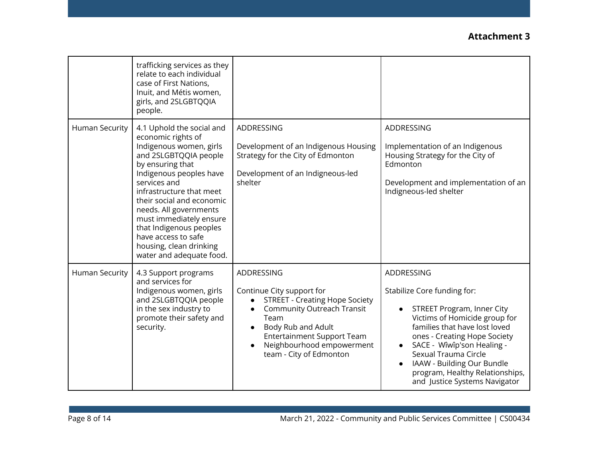|                       | trafficking services as they<br>relate to each individual<br>case of First Nations,<br>Inuit, and Métis women,<br>girls, and 2SLGBTQQIA<br>people.                                                                                                                                                                                                                                        |                                                                                                                                                                                                                                                  |                                                                                                                                                                                                                                                                                                                                   |
|-----------------------|-------------------------------------------------------------------------------------------------------------------------------------------------------------------------------------------------------------------------------------------------------------------------------------------------------------------------------------------------------------------------------------------|--------------------------------------------------------------------------------------------------------------------------------------------------------------------------------------------------------------------------------------------------|-----------------------------------------------------------------------------------------------------------------------------------------------------------------------------------------------------------------------------------------------------------------------------------------------------------------------------------|
| <b>Human Security</b> | 4.1 Uphold the social and<br>economic rights of<br>Indigenous women, girls<br>and 2SLGBTQQIA people<br>by ensuring that<br>Indigenous peoples have<br>services and<br>infrastructure that meet<br>their social and economic<br>needs. All governments<br>must immediately ensure<br>that Indigenous peoples<br>have access to safe<br>housing, clean drinking<br>water and adequate food. | ADDRESSING<br>Development of an Indigenous Housing<br>Strategy for the City of Edmonton<br>Development of an Indigneous-led<br>shelter                                                                                                           | ADDRESSING<br>Implementation of an Indigenous<br>Housing Strategy for the City of<br>Edmonton<br>Development and implementation of an<br>Indigneous-led shelter                                                                                                                                                                   |
| <b>Human Security</b> | 4.3 Support programs<br>and services for<br>Indigenous women, girls<br>and 2SLGBTQQIA people<br>in the sex industry to<br>promote their safety and<br>security.                                                                                                                                                                                                                           | ADDRESSING<br>Continue City support for<br><b>STREET - Creating Hope Society</b><br><b>Community Outreach Transit</b><br>Team<br>Body Rub and Adult<br><b>Entertainment Support Team</b><br>Neighbourhood empowerment<br>team - City of Edmonton | ADDRESSING<br>Stabilize Core funding for:<br>STREET Program, Inner City<br>Victims of Homicide group for<br>families that have lost loved<br>ones - Creating Hope Society<br>SACE - Wîwîp'son Healing -<br>Sexual Trauma Circle<br>IAAW - Building Our Bundle<br>program, Healthy Relationships,<br>and Justice Systems Navigator |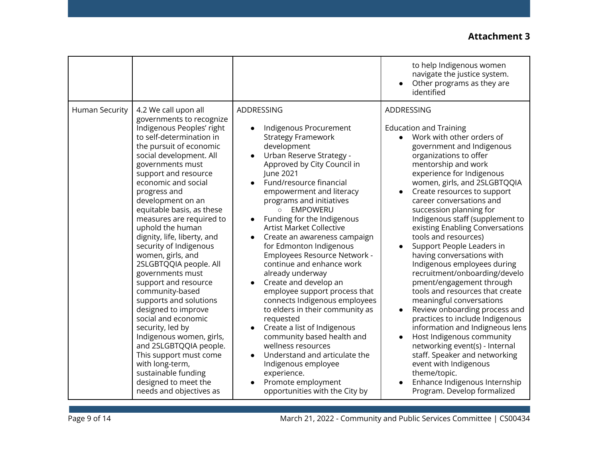|                       |                                                                                                                                                                                                                                                                                                                                                                                                                                                                                                                                                                                                                                                                                                                                                                                                      |                                                                                                                                                                                                                                                                                                                                                                                                                                                                                                                                                                                                                                                                                                                                                                                                                                                               | to help Indigenous women<br>navigate the justice system.<br>Other programs as they are<br>identified                                                                                                                                                                                                                                                                                                                                                                                                                                                                                                                                                                                                                                                                                                                                                                                                                                                      |
|-----------------------|------------------------------------------------------------------------------------------------------------------------------------------------------------------------------------------------------------------------------------------------------------------------------------------------------------------------------------------------------------------------------------------------------------------------------------------------------------------------------------------------------------------------------------------------------------------------------------------------------------------------------------------------------------------------------------------------------------------------------------------------------------------------------------------------------|---------------------------------------------------------------------------------------------------------------------------------------------------------------------------------------------------------------------------------------------------------------------------------------------------------------------------------------------------------------------------------------------------------------------------------------------------------------------------------------------------------------------------------------------------------------------------------------------------------------------------------------------------------------------------------------------------------------------------------------------------------------------------------------------------------------------------------------------------------------|-----------------------------------------------------------------------------------------------------------------------------------------------------------------------------------------------------------------------------------------------------------------------------------------------------------------------------------------------------------------------------------------------------------------------------------------------------------------------------------------------------------------------------------------------------------------------------------------------------------------------------------------------------------------------------------------------------------------------------------------------------------------------------------------------------------------------------------------------------------------------------------------------------------------------------------------------------------|
| <b>Human Security</b> | 4.2 We call upon all<br>governments to recognize<br>Indigenous Peoples' right<br>to self-determination in<br>the pursuit of economic<br>social development. All<br>governments must<br>support and resource<br>economic and social<br>progress and<br>development on an<br>equitable basis, as these<br>measures are required to<br>uphold the human<br>dignity, life, liberty, and<br>security of Indigenous<br>women, girls, and<br>2SLGBTQQIA people. All<br>governments must<br>support and resource<br>community-based<br>supports and solutions<br>designed to improve<br>social and economic<br>security, led by<br>Indigenous women, girls,<br>and 2SLGBTQQIA people.<br>This support must come<br>with long-term,<br>sustainable funding<br>designed to meet the<br>needs and objectives as | ADDRESSING<br>Indigenous Procurement<br><b>Strategy Framework</b><br>development<br>Urban Reserve Strategy -<br>Approved by City Council in<br>June 2021<br>Fund/resource financial<br>empowerment and literacy<br>programs and initiatives<br>O EMPOWERU<br>Funding for the Indigenous<br><b>Artist Market Collective</b><br>Create an awareness campaign<br>for Edmonton Indigenous<br>Employees Resource Network -<br>continue and enhance work<br>already underway<br>Create and develop an<br>$\bullet$<br>employee support process that<br>connects Indigenous employees<br>to elders in their community as<br>requested<br>Create a list of Indigenous<br>$\bullet$<br>community based health and<br>wellness resources<br>Understand and articulate the<br>Indigenous employee<br>experience.<br>Promote employment<br>opportunities with the City by | ADDRESSING<br><b>Education and Training</b><br>Work with other orders of<br>government and Indigenous<br>organizations to offer<br>mentorship and work<br>experience for Indigenous<br>women, girls, and 2SLGBTQQIA<br>Create resources to support<br>career conversations and<br>succession planning for<br>Indigenous staff (supplement to<br>existing Enabling Conversations<br>tools and resources)<br>Support People Leaders in<br>having conversations with<br>Indigenous employees during<br>recruitment/onboarding/develo<br>pment/engagement through<br>tools and resources that create<br>meaningful conversations<br>Review onboarding process and<br>$\bullet$<br>practices to include Indigenous<br>information and Indigneous lens<br>Host Indigenous community<br>networking event(s) - Internal<br>staff. Speaker and networking<br>event with Indigenous<br>theme/topic.<br>Enhance Indigenous Internship<br>Program. Develop formalized |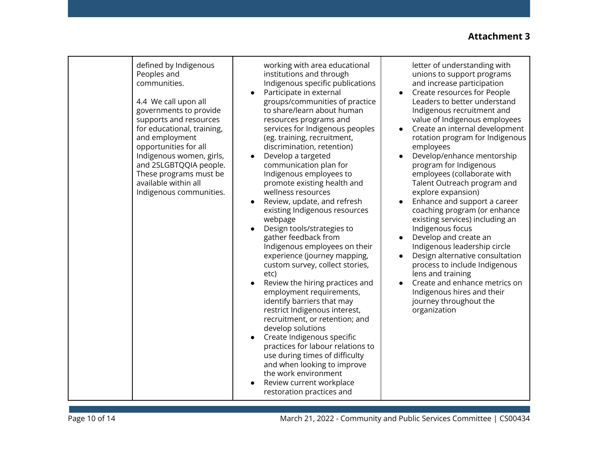| defined by Indigenous<br>Peoples and<br>communities.<br>$\bullet$<br>4.4 We call upon all<br>governments to provide<br>supports and resources<br>for educational, training,<br>and employment<br>opportunities for all<br>Indigenous women, girls,<br>and 2SLGBTQQIA people.<br>These programs must be<br>available within all<br>Indigenous communities.<br>$\bullet$<br>$\bullet$ | working with area educational<br>institutions and through<br>Indigenous specific publications<br>Participate in external<br>groups/communities of practice<br>to share/learn about human<br>resources programs and<br>services for Indigenous peoples<br>(eg. training, recruitment,<br>discrimination, retention)<br>Develop a targeted<br>communication plan for<br>Indigenous employees to<br>promote existing health and<br>wellness resources<br>Review, update, and refresh<br>existing Indigenous resources<br>webpage<br>Design tools/strategies to<br>gather feedback from<br>Indigenous employees on their<br>experience (journey mapping,<br>custom survey, collect stories,<br>etc)<br>Review the hiring practices and | letter of understanding with<br>unions to support programs<br>and increase participation<br>Create resources for People<br>Leaders to better understand<br>Indigenous recruitment and<br>value of Indigenous employees<br>Create an internal development<br>rotation program for Indigenous<br>employees<br>Develop/enhance mentorship<br>program for Indigenous<br>employees (collaborate with<br>Talent Outreach program and<br>explore expansion)<br>Enhance and support a career<br>coaching program (or enhance<br>existing services) including an<br>Indigenous focus<br>Develop and create an<br>$\bullet$<br>Indigenous leadership circle<br>Design alternative consultation<br>$\bullet$<br>process to include Indigenous<br>lens and training<br>Create and enhance metrics on |
|-------------------------------------------------------------------------------------------------------------------------------------------------------------------------------------------------------------------------------------------------------------------------------------------------------------------------------------------------------------------------------------|------------------------------------------------------------------------------------------------------------------------------------------------------------------------------------------------------------------------------------------------------------------------------------------------------------------------------------------------------------------------------------------------------------------------------------------------------------------------------------------------------------------------------------------------------------------------------------------------------------------------------------------------------------------------------------------------------------------------------------|------------------------------------------------------------------------------------------------------------------------------------------------------------------------------------------------------------------------------------------------------------------------------------------------------------------------------------------------------------------------------------------------------------------------------------------------------------------------------------------------------------------------------------------------------------------------------------------------------------------------------------------------------------------------------------------------------------------------------------------------------------------------------------------|
|-------------------------------------------------------------------------------------------------------------------------------------------------------------------------------------------------------------------------------------------------------------------------------------------------------------------------------------------------------------------------------------|------------------------------------------------------------------------------------------------------------------------------------------------------------------------------------------------------------------------------------------------------------------------------------------------------------------------------------------------------------------------------------------------------------------------------------------------------------------------------------------------------------------------------------------------------------------------------------------------------------------------------------------------------------------------------------------------------------------------------------|------------------------------------------------------------------------------------------------------------------------------------------------------------------------------------------------------------------------------------------------------------------------------------------------------------------------------------------------------------------------------------------------------------------------------------------------------------------------------------------------------------------------------------------------------------------------------------------------------------------------------------------------------------------------------------------------------------------------------------------------------------------------------------------|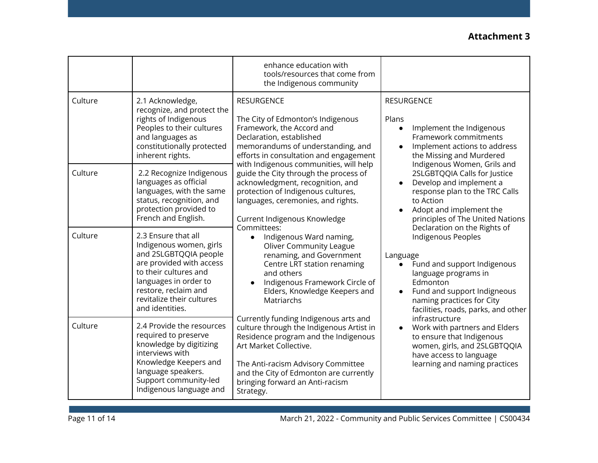|         |                                                                                                                                                                                                                               | enhance education with<br>tools/resources that come from<br>the Indigenous community                                                                                                                                                                                                                                                                                                                                                                                                                                                                                                                                                                                                                                                                                                                                                                                                                                                                                        |                                                                                                                                                                                                                                                                                                                                                                                                                                                                        |
|---------|-------------------------------------------------------------------------------------------------------------------------------------------------------------------------------------------------------------------------------|-----------------------------------------------------------------------------------------------------------------------------------------------------------------------------------------------------------------------------------------------------------------------------------------------------------------------------------------------------------------------------------------------------------------------------------------------------------------------------------------------------------------------------------------------------------------------------------------------------------------------------------------------------------------------------------------------------------------------------------------------------------------------------------------------------------------------------------------------------------------------------------------------------------------------------------------------------------------------------|------------------------------------------------------------------------------------------------------------------------------------------------------------------------------------------------------------------------------------------------------------------------------------------------------------------------------------------------------------------------------------------------------------------------------------------------------------------------|
| Culture | 2.1 Acknowledge,<br>recognize, and protect the<br>rights of Indigenous<br>Peoples to their cultures<br>and languages as<br>constitutionally protected<br>inherent rights.                                                     | <b>RESURGENCE</b><br>The City of Edmonton's Indigenous<br>Framework, the Accord and<br>Declaration, established<br>memorandums of understanding, and<br>efforts in consultation and engagement<br>with Indigenous communities, will help<br>guide the City through the process of<br>acknowledgment, recognition, and<br>protection of Indigenous cultures,<br>languages, ceremonies, and rights.<br>Current Indigenous Knowledge<br>Committees:<br>Indigenous Ward naming,<br>$\bullet$<br><b>Oliver Community League</b><br>renaming, and Government<br>Centre LRT station renaming<br>and others<br>Indigenous Framework Circle of<br>Elders, Knowledge Keepers and<br>Matriarchs<br>Currently funding Indigenous arts and<br>culture through the Indigenous Artist in<br>Residence program and the Indigenous<br>Art Market Collective.<br>The Anti-racism Advisory Committee<br>and the City of Edmonton are currently<br>bringing forward an Anti-racism<br>Strategy. | <b>RESURGENCE</b><br>Plans<br>Implement the Indigenous<br>$\bullet$<br>Framework commitments<br>Implement actions to address<br>the Missing and Murdered                                                                                                                                                                                                                                                                                                               |
| Culture | 2.2 Recognize Indigenous<br>languages as official<br>languages, with the same<br>status, recognition, and<br>protection provided to<br>French and English.                                                                    |                                                                                                                                                                                                                                                                                                                                                                                                                                                                                                                                                                                                                                                                                                                                                                                                                                                                                                                                                                             | Indigenous Women, Grils and<br>2SLGBTQQIA Calls for Justice<br>Develop and implement a<br>response plan to the TRC Calls<br>to Action<br>Adopt and implement the<br>principles of The United Nations<br>Declaration on the Rights of<br>Indigenous Peoples<br>Language<br>Fund and support Indigenous<br>$\bullet$<br>language programs in<br>Edmonton<br>Fund and support Indigneous<br>$\bullet$<br>naming practices for City<br>facilities, roads, parks, and other |
| Culture | 2.3 Ensure that all<br>Indigenous women, girls<br>and 2SLGBTQQIA people<br>are provided with access<br>to their cultures and<br>languages in order to<br>restore, reclaim and<br>revitalize their cultures<br>and identities. |                                                                                                                                                                                                                                                                                                                                                                                                                                                                                                                                                                                                                                                                                                                                                                                                                                                                                                                                                                             |                                                                                                                                                                                                                                                                                                                                                                                                                                                                        |
| Culture | 2.4 Provide the resources<br>required to preserve<br>knowledge by digitizing<br>interviews with<br>Knowledge Keepers and<br>language speakers.<br>Support community-led<br>Indigenous language and                            |                                                                                                                                                                                                                                                                                                                                                                                                                                                                                                                                                                                                                                                                                                                                                                                                                                                                                                                                                                             | infrastructure<br>Work with partners and Elders<br>$\bullet$<br>to ensure that Indigenous<br>women, girls, and 2SLGBTQQIA<br>have access to language<br>learning and naming practices                                                                                                                                                                                                                                                                                  |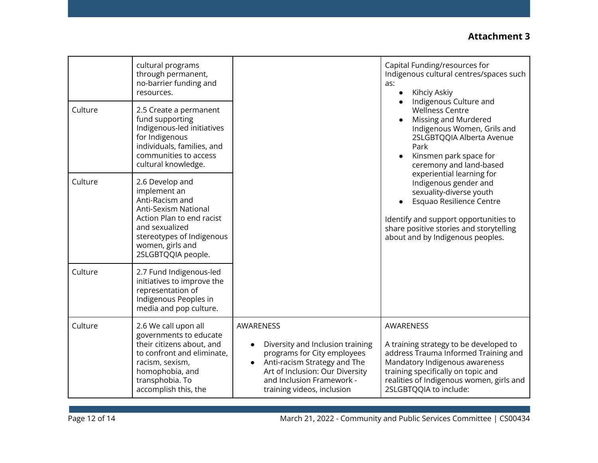|         | cultural programs<br>through permanent,<br>no-barrier funding and<br>resources.                                                                                                                  |                                                                                                                                                                                                                         | Capital Funding/resources for<br>Indigenous cultural centres/spaces such<br>as:<br>Kihciy Askiy<br>Indigenous Culture and<br><b>Wellness Centre</b>                                                                                                                                                                                                                                |
|---------|--------------------------------------------------------------------------------------------------------------------------------------------------------------------------------------------------|-------------------------------------------------------------------------------------------------------------------------------------------------------------------------------------------------------------------------|------------------------------------------------------------------------------------------------------------------------------------------------------------------------------------------------------------------------------------------------------------------------------------------------------------------------------------------------------------------------------------|
| Culture | 2.5 Create a permanent<br>fund supporting<br>Indigenous-led initiatives<br>for Indigenous<br>individuals, families, and<br>communities to access<br>cultural knowledge.                          |                                                                                                                                                                                                                         | Missing and Murdered<br>Indigenous Women, Grils and<br>2SLGBTQQIA Alberta Avenue<br>Park<br>Kinsmen park space for<br>ceremony and land-based<br>experiential learning for<br>Indigenous gender and<br>sexuality-diverse youth<br>Esquao Resilience Centre<br>Identify and support opportunities to<br>share positive stories and storytelling<br>about and by Indigenous peoples. |
| Culture | 2.6 Develop and<br>implement an<br>Anti-Racism and<br>Anti-Sexism National<br>Action Plan to end racist<br>and sexualized<br>stereotypes of Indigenous<br>women, girls and<br>2SLGBTQQIA people. |                                                                                                                                                                                                                         |                                                                                                                                                                                                                                                                                                                                                                                    |
| Culture | 2.7 Fund Indigenous-led<br>initiatives to improve the<br>representation of<br>Indigenous Peoples in<br>media and pop culture.                                                                    |                                                                                                                                                                                                                         |                                                                                                                                                                                                                                                                                                                                                                                    |
| Culture | 2.6 We call upon all<br>governments to educate<br>their citizens about, and<br>to confront and eliminate,<br>racism, sexism,<br>homophobia, and<br>transphobia. To<br>accomplish this, the       | AWARENESS<br>Diversity and Inclusion training<br>programs for City employees<br>Anti-racism Strategy and The<br>$\bullet$<br>Art of Inclusion: Our Diversity<br>and Inclusion Framework -<br>training videos, inclusion | AWARENESS<br>A training strategy to be developed to<br>address Trauma Informed Training and<br>Mandatory Indigenous awareness<br>training specifically on topic and<br>realities of Indigenous women, girls and<br>2SLGBTQQIA to include:                                                                                                                                          |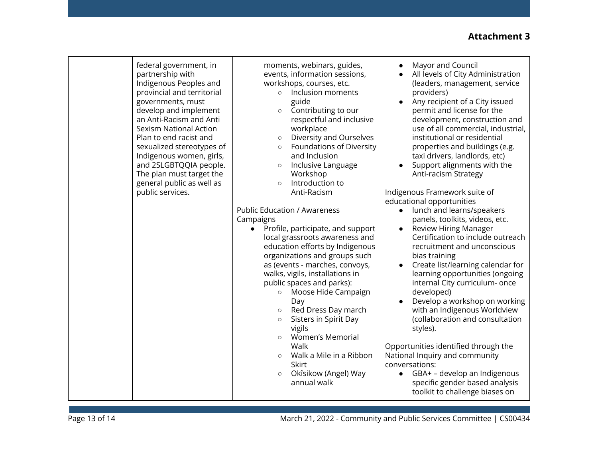| federal government, in<br>partnership with<br>Indigenous Peoples and<br>provincial and territorial<br>governments, must<br>develop and implement<br>an Anti-Racism and Anti<br><b>Sexism National Action</b><br>Plan to end racist and<br>sexualized stereotypes of<br>Indigenous women, girls,<br>and 2SLGBTQQIA people.<br>The plan must target the<br>general public as well as<br>public services. | moments, webinars, guides,<br>events, information sessions,<br>workshops, courses, etc.<br>Inclusion moments<br>$\circ$<br>guide<br>Contributing to our<br>$\circ$<br>respectful and inclusive<br>workplace<br>Diversity and Ourselves<br>$\circ$<br>Foundations of Diversity<br>$\circ$<br>and Inclusion<br>Inclusive Language<br>$\circ$<br>Workshop<br>Introduction to<br>$\circ$<br>Anti-Racism<br><b>Public Education / Awareness</b><br>Campaigns<br>Profile, participate, and support<br>$\bullet$<br>local grassroots awareness and<br>education efforts by Indigenous<br>organizations and groups such<br>as (events - marches, convoys,<br>walks, vigils, installations in<br>public spaces and parks):<br>Moose Hide Campaign<br>$\circ$<br>Day<br>Red Dress Day march<br>$\circ$<br>Sisters in Spirit Day<br>$\circ$<br>vigils<br><b>Women's Memorial</b><br>$\circ$<br>Walk<br>Walk a Mile in a Ribbon<br>$\circ$<br>Skirt<br>Okîsikow (Angel) Way<br>$\circ$<br>annual walk | Mayor and Council<br>$\bullet$<br>All levels of City Administration<br>(leaders, management, service<br>providers)<br>Any recipient of a City issued<br>permit and license for the<br>development, construction and<br>use of all commercial, industrial,<br>institutional or residential<br>properties and buildings (e.g.<br>taxi drivers, landlords, etc)<br>Support alignments with the<br>Anti-racism Strategy<br>Indigenous Framework suite of<br>educational opportunities<br>• lunch and learns/speakers<br>panels, toolkits, videos, etc.<br><b>Review Hiring Manager</b><br>$\bullet$<br>Certification to include outreach<br>recruitment and unconscious<br>bias training<br>Create list/learning calendar for<br>$\bullet$<br>learning opportunities (ongoing<br>internal City curriculum- once<br>developed)<br>Develop a workshop on working<br>with an Indigenous Worldview<br>(collaboration and consultation<br>styles).<br>Opportunities identified through the<br>National Inquiry and community<br>conversations:<br>GBA+ - develop an Indigenous<br>$\bullet$<br>specific gender based analysis<br>toolkit to challenge biases on |
|--------------------------------------------------------------------------------------------------------------------------------------------------------------------------------------------------------------------------------------------------------------------------------------------------------------------------------------------------------------------------------------------------------|-------------------------------------------------------------------------------------------------------------------------------------------------------------------------------------------------------------------------------------------------------------------------------------------------------------------------------------------------------------------------------------------------------------------------------------------------------------------------------------------------------------------------------------------------------------------------------------------------------------------------------------------------------------------------------------------------------------------------------------------------------------------------------------------------------------------------------------------------------------------------------------------------------------------------------------------------------------------------------------------|--------------------------------------------------------------------------------------------------------------------------------------------------------------------------------------------------------------------------------------------------------------------------------------------------------------------------------------------------------------------------------------------------------------------------------------------------------------------------------------------------------------------------------------------------------------------------------------------------------------------------------------------------------------------------------------------------------------------------------------------------------------------------------------------------------------------------------------------------------------------------------------------------------------------------------------------------------------------------------------------------------------------------------------------------------------------------------------------------------------------------------------------------------|
|--------------------------------------------------------------------------------------------------------------------------------------------------------------------------------------------------------------------------------------------------------------------------------------------------------------------------------------------------------------------------------------------------------|-------------------------------------------------------------------------------------------------------------------------------------------------------------------------------------------------------------------------------------------------------------------------------------------------------------------------------------------------------------------------------------------------------------------------------------------------------------------------------------------------------------------------------------------------------------------------------------------------------------------------------------------------------------------------------------------------------------------------------------------------------------------------------------------------------------------------------------------------------------------------------------------------------------------------------------------------------------------------------------------|--------------------------------------------------------------------------------------------------------------------------------------------------------------------------------------------------------------------------------------------------------------------------------------------------------------------------------------------------------------------------------------------------------------------------------------------------------------------------------------------------------------------------------------------------------------------------------------------------------------------------------------------------------------------------------------------------------------------------------------------------------------------------------------------------------------------------------------------------------------------------------------------------------------------------------------------------------------------------------------------------------------------------------------------------------------------------------------------------------------------------------------------------------|